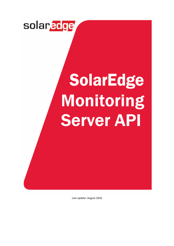

# **SolarEdge** Monitoring **Server API**

Last update: August 2016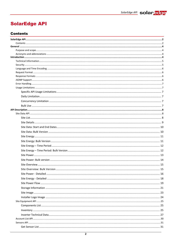# <span id="page-1-0"></span>**SolarEdge API**

# <span id="page-1-1"></span>**Contents**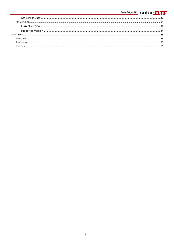# SolarEdge API solaredge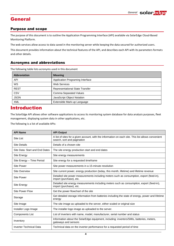# <span id="page-3-0"></span>**General**

## <span id="page-3-1"></span>Purpose and scope

The purpose of this document is to outline the Application Programming Interface (API) available via SolarEdge Cloud-Based Monitoring Platform.

The web services allow access to data saved in the monitoring server while keeping the data secured for authorized users.

This document provides information about the technical features of the API, and describes each API with its parameters formats and other details.

# <span id="page-3-2"></span>Acronyms and abbreviations

The following table lists acronyms used in this document

| <b>Abbreviation</b> | <b>Meaning</b>                         |  |
|---------------------|----------------------------------------|--|
| <b>API</b>          | Application Programing Interface       |  |
| WS                  | <b>Web Services</b>                    |  |
| <b>REST</b>         | <b>Representational State Transfer</b> |  |
| CSV                 | <b>Comma Separated Values</b>          |  |
| <b>JSON</b>         | JavaScript Object Notation             |  |
| <b>XML</b>          | Extensible Mark-up Language            |  |

# <span id="page-3-3"></span>Introduction

The SolarEdge API allows other software applications to access its monitoring system database for data analysis purposes, fleet management, displaying system data in other applications, etc.

The following is a list of available APIs:

| <b>API Name</b>                | <b>API Output</b>                                                                                                                  |
|--------------------------------|------------------------------------------------------------------------------------------------------------------------------------|
| Site List                      | A list of sites for a given account, with the information on each site. This list allows convenient<br>search, sort and pagination |
| <b>Site Details</b>            | Details of a chosen site                                                                                                           |
| Site Data: Start and End Dates | The site energy production start and end dates                                                                                     |
| Site Energy                    | Site energy measurements                                                                                                           |
| Site Energy - Time Period      | Site energy for a requested timeframe                                                                                              |
| <b>Site Power</b>              | Site power measurements in a 15-minute resolution                                                                                  |
| <b>Site Overview</b>           | Site current power, energy production (today, this month, lifetime) and lifetime revenue                                           |
| Site Power                     | Detailed site power measurements including meters such as consumption, export (feed-in),<br>import (purchase), etc.                |
| Site Energy                    | Detailed site energy measurements including meters such as consumption, export (feed-in),<br>import (purchase), etc.               |
| Site Power Flow                | Get the power flowchart of the site                                                                                                |
| Storage                        | Get detailed storage information from batteries including the state of energy, power and lifetime<br>energy                        |
| Site Image                     | The site image as uploaded to the server, either scaled or original size                                                           |
| Installer Logo Image           | The installer logo image as uploaded to the server.                                                                                |
| <b>Components List</b>         | List of inverters with name, model, manufacturer, serial number and status                                                         |
| Inventory                      | Information about the SolarEdge equipment, including: inverters/SMIs, batteries, meters,<br>gateways and sensors                   |
| <b>Inverter Technical Data</b> | Technical data on the inverter performance for a requested period of time                                                          |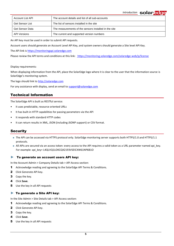**Introduction solar adge** 

| Account List API | The account details and list of all sub-accounts      |
|------------------|-------------------------------------------------------|
| Get Sensor List  | The list of sensors installed in the site             |
| Get Sensor Data  | The measurements of the sensors installed in the site |
| API Versions     | The current and supported version numbers             |

An API key must be used in order to submit API requests.

Account users should generate an Account Level API Key, and system owners should generate a Site level API Key.

The API link is [https://monitoringapi.solaredge.com](https://monitoringapi.solaredge.com/)

Please review the API terms and conditions at this link: <https://monitoring.solaredge.com/solaredge-web/p/license>

Display requirements:

When displaying information from the API, place the SolarEdge logo where it is clear to the user that the information source is SolarEdge's monitoring system.

The logo should link to [http://solaredge.com](http://solaredge.com/)

<span id="page-4-0"></span>For any assistance with display, send an email to [support@solaredge.com](mailto:support@solaredge.com)

# Technical Information

The SolarEdge API is built as RESTful service:

- It uses predictable, resource oriented URLs
- It has built-in HTTP capabilities for passing parameters via the API
- It responds with standard HTTP codes
- <span id="page-4-1"></span>It can return results in XML, JSON (including JSONP support) or CSV format.

## **Security**

- The API can be accessed via HTTPS protocol only. SolarEdge monitoring server supports both HTTPS/1.0 and HTTPS/1.1 protocols.
- All APIs are secured via an access token: every access to the API requires a valid token as a URL parameter named api key. For example: api\_key= L4QLVQ1LOKCQX2193VSEICXW61NP6B1O

#### ► To generate an account users API key:

In the Account Admin > Company Details tab > API Access section:

- 1 Acknowledge reading and agreeing to the SolarEdge API Terms & Conditions.
- 2 Click Generate API key.
- 3 Copy the key.
- 4 Click **Save**.
- 5 Use the key in all API requests

#### ► To generate a Site API key:

In the Site Admin > Site Details tab > API Access section:

- 1 Acknowledge reading and agreeing to the SolarEdge API Terms & Conditions.
- 2 Click Generate API key.
- 3 Copy the key.
- 4 Click **Save**.
- 5 Use the key in all API requests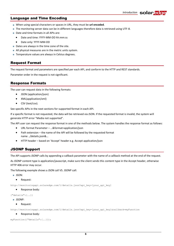#### <span id="page-5-0"></span>Language and Time Encoding

- When using special characters or spaces in URL, they must be **url encoded**.
- The monitoring server data can be in different languages therefore data is retrieved using UTF-8.
- Date and time formats in all APIs are:
	- Date and time: YYYY-MM-DD hh:mm:ss
	- Date only: YYYY-MM-DD
- Dates are always in the time zone of the site.
- All physical measures are in the metric units system.
- <span id="page-5-1"></span>■ Temperature values are always in Celsius degrees.

#### Request Format

The request format and parameters are specified per each API, and conform to the HTTP and REST standards.

<span id="page-5-2"></span>Parameter order in the request is not significant.

#### Response Formats

The user can request data in the following formats:

- JSON (application/json)
- XML(application/xml)
- CSV (text/csv).

See specific APIs in the next sections for supported format in each API.

If a specific format is not requested, the data will be retrieved via JSON. If the requested format is invalid, the system will generate HTTP error "Media not supported".

The API user can request the response format in one of the methods below. The system handles the response format as follows:

- URL format Parameter …&format=application/json
- Path extension the name of the API will be followed by the requested format name ../details.json&…
- HTTP header based on 'Accept' header e.g. Accept application/json

## <span id="page-5-3"></span>JSONP Support

The API supports JSONP calls by appending a callback parameter with the name of a callback method at the end of the request.

As JSONP content type is application/javascript, make sure the client sends this content type in the Accept header, otherwise HTTP 406 error may occur.

The following example shows a JSON call VS. JSONP call:

- $\blacksquare$  JSON:
	- Request:

http://monitoringapi.solaredge.com/1/details.json?api\_key=[your\_api\_key]

• Response body:

{"details":{..}}

- **JSONP:** 
	- Request:

http://monitoringapi.solaredge.com/1/details.json?api\_key=[your\_api\_key]&callback=myFunction

Response body:

```
myFunction({"details":{..}});
```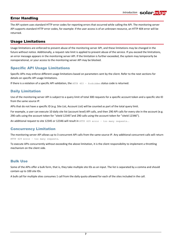# <span id="page-6-0"></span>Error Handling

The API system uses standard HTTP error codes for reporting errors that occurred while calling the API. The monitoring server API supports standard HTTP error codes, for example: if the user access is of an unknown resource, an HTTP 404 error will be returned.

# <span id="page-6-1"></span>Usage Limitations

Usage limitations are enforced to prevent abuse of the monitoring server API, and these limitations may be changed in the future without notice. Additionally, a request rate limit is applied to prevent abuse of the service. If you exceed the limitations, an error message appears in the monitoring server API. If the limitation is further exceeded, the system may temporarily be nonoperational, or your access to the monitoring server API may be blocked.

# <span id="page-6-2"></span>Specific API Usage Limitations

Specific APIs may enforce different usage limitations based on parameters sent by the client. Refer to the next sections for details on specific API usage limitations.

If there is a violation of a specific API validation, the HTTP 403 - forbidden status code is returned.

# <span id="page-6-3"></span>Daily Limitation

Use of the monitoring server API is subject to a query limit of total 300 requests for a specific account token and a specific site ID from the same source IP.

APIs that do not have a specific ID (e.g. Site List, Account List) will be counted as part of the total query limit.

For example, a user can execute 10 daily site list (account level) API calls, and then 290 API calls for every site in the account (e.g. 290 calls using the account token for "siteId 12345" and 290 calls using the account token for "siteId 12346").

<span id="page-6-4"></span>An additional request to site 12345 or 12346 will result in HTTP 429 error - too many requests.

## Concurrency Limitation

The monitoring server API allows up to 3 concurrent API calls from the same source IP. Any additional concurrent calls will return HTTP 429 error – too many requests.

To execute APIs concurrently without exceeding the above limitation, it is the client responsibility to implement a throttling mechanism on the client side.

## <span id="page-6-5"></span>Bulk Use

Some of the APIs offer a bulk form, that is, they take multiple site IDs as an input. The list is separated by a comma and should contain up to 100 site IDs.

A bulk call for multiple sites consumes 1 call from the daily quota allowed for each of the sites included in the call.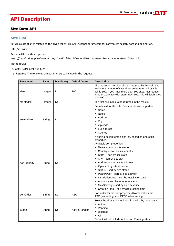# <span id="page-7-0"></span>API Description

# <span id="page-7-1"></span>Site Data API

# <span id="page-7-2"></span>Site List

Returns a list of sites related to the given token. This API accepts parameters for convenient search, sort and pagination.

URL: */sites/list*

Example URL (with all options):

*https://monitoringapi.solaredge.com/sites/list?size=5&searchText=Lyon&sortProperty=name&sortOrder=ASC*

Method: GET

Formats: JSON, XML and CSV

**Request**: The following are parameters to include in the request.

| <b>Parameter</b> | <b>Type</b> | <b>Mandatory</b> | <b>Default Value</b> | <b>Description</b>                                                                                                                                                                                                                                                                                                                                                                                                                                                                                                                                                            |
|------------------|-------------|------------------|----------------------|-------------------------------------------------------------------------------------------------------------------------------------------------------------------------------------------------------------------------------------------------------------------------------------------------------------------------------------------------------------------------------------------------------------------------------------------------------------------------------------------------------------------------------------------------------------------------------|
| size             | Integer     | No               | 100                  | The maximum number of sites returned by this call. The<br>maximum number of sites that can be returned by this<br>call is 100. If you have more than 100 sites, just request<br>another 100 sites with startIndex=100. This will fetch sites<br>100-199.                                                                                                                                                                                                                                                                                                                      |
| startIndex       | Integer     | No               | $\mathbf 0$          | The first site index to be returned in the results                                                                                                                                                                                                                                                                                                                                                                                                                                                                                                                            |
| searchText       | String      | No               |                      | Search text for this site. Searchable site properties:<br>٠<br>Name<br><b>Notes</b><br>٠<br>Address<br>City<br>٠<br>Zip code<br>٠<br><b>Full address</b><br>Country<br>٠                                                                                                                                                                                                                                                                                                                                                                                                      |
| sortProperty     | String      | No               |                      | A sorting option for this site list, based on one of its<br>properties.<br>Available sort properties:<br>Name - sort by site name<br>Country - sort by site country<br>State - sort by site state<br>٠<br>City – sort by site city<br>٠<br>Address - sort by site address<br>٠<br>Zip – sort by site zip code<br>٠<br>Status - sort by site status<br>PeakPower - sort by peak power<br>٠<br>InstallationDate - sort by installation date<br>٠<br>Amount - sort by amount of alerts<br>٠<br>MaxSeverity - sort by alert severity<br>CreationTime - sort by site creation time |
| sortOrder        | String      | No               | ASC                  | Sort order for the sort property. Allowed values are<br>ASC (ascending) and DESC (descending).                                                                                                                                                                                                                                                                                                                                                                                                                                                                                |
| <b>Status</b>    | String      | No               | Active, Pending      | Select the sites to be included in the list by their status:<br>Active<br>٠<br>Pending<br>Disabled<br>٠<br>All<br>٠<br>Default list will include Active and Pending sites.                                                                                                                                                                                                                                                                                                                                                                                                    |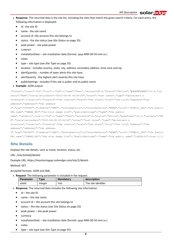- **Response**: The returned data is the site list, including the sites that match the given search criteria. For each entry, the following information is displayed:
	- id the site ID
	- name the site name
	- account id -the account this site belongs to
	- status the site status (see *[Site Status](#page-34-2)* on page [35\)](#page-34-2)
	- peak power site peak power
	- **CURRENCY**
	- installationDate site installation date (format: yyyy-MM-DD hh:mm:ss )
	- notes
	- type site type (see *[Site Type](#page-34-3)* on page [35\)](#page-34-3)
	- location includes country, state, city, address, secondary address, time zone and zip.
	- alertQuantity number of open alerts this site have.
	- alertSeverity the highest alert severity this site have
	- publicSettings includes if this site is public and its public name
- **Example**: JSON output:

```
{"Sites":{"count":1567,"list":[{"id":1,"name":"Test","accountId":0,"status":"Active","peakPower":10.0,"cur
rency":"EUR","installationDate":"2012-06-08 00:00:00","notes":"test notes","type":"Optimizers & 
Inverters","location":{"country":"the country","state":"the state","city":"the city","address":"the 
address","address2":"the address 
2","zip":"00000"","timeZone":"GMT"},"alertQuantity":0,"alertSeverity":"NONE","uris":{"PUBLIC_URL":"the public 
URL name","IMAGE_URI":"the site image link"},"publicSettings":{"name":"the public 
name","isPublic":true}},{"id":1,"name":"Test","accountId":0,"status":"Active","peakPower":10.0,"currency":"EU
R","installationDate":"2012-06-08 00:00:00","notes":"test notes","type":"Optimizers & 
Inverters","location":{"country":"the country","state":"the state","city":"the city","address":"the 
address","address2":"the address 
2","zip":"00000"","timeZone":"GMT"},"alertQuantity":0,"alertSeverity":"NONE","uris":{"PUBLIC_URL":"the public 
URL name", "IMAGE URI": "the site image link"}, "publicSettings":{ "name": "the public name", "isPublic":true}}}]}}
```
## <span id="page-8-0"></span>Site Details

Displays the site details, such as name, location, status, etc.

URL: */site/{siteId}/details*

Example URL: *https://monitoringapi.solaredge.com/site/1/details*

Method: GET

Accepted formats: JSON and XML

**Request**: The following parameter is included in the request:

| <b>Parameter</b> | vpe     | <b>Mandatory</b> | description         |
|------------------|---------|------------------|---------------------|
| siteld           | Integer | Yes              | The site identifier |

- **Response**: The returned data includes the following site information:
	- id the site ID
	- name the site name
	- account id the account this site belongs to
	- status the site status (see *[Site Status](#page-34-2)* on page [35\)](#page-34-2)
	- peak power site peak power
	- currency
	- installationDate site installation date (format: yyyy-MM-DD hh:mm:ss )
	- notes
	- type site type (see *[Site Type](#page-34-3)* on page [35\)](#page-34-3)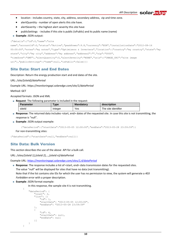- location includes country, state, city, address, secondary address, zip and time zone.
- alertQuantity number of open alerts this site have.
- alertSeverity the highest alert severity this site have
- publicSettings includes if this site is public (isPublic) and its public name (name)
- **Example: JSON output:**

#### {"details":{"id":0,"name":"site

```
name","accountId":0,"status":"Active","peakPower":9.8,"currency":"EUR","installationDate":"2012-08-16 
00:00:00","notes":"my notes","type":"Optimizers & Inverters","location":{"country":"my country","state":"my 
state","city":"my city","address":"my address","address2":"","zip":"0000", 
"timeZone":"GMT"},"alertQuantity":0,"alertSeverity":"NONE","uris":{"IMAGE_URI":"site image 
uri"}, "publicSettings": { "name": null, "isPublic": false } } }
```
#### <span id="page-9-0"></span>Site Data: Start and End Dates

Description: Return the energy production start and end dates of the site.

#### URL: */site/{siteId}/dataPeriod*

Example URL: *https://monitoringapi.solaredge.com/site/1/dataPeriod*

#### Method: GET

Accepted formats: JSON and XML

**Request**: The following parameter is included in the request:

| <b>Parameter</b> | $T$ ype | <b>Mandatory</b> | description         |
|------------------|---------|------------------|---------------------|
| siteld           | Integer | <b>Yes</b>       | The site identifier |

- **Response:** The returned data includes <start, end> dates of the requested site. In case this site is not transmitting, the response is "null".
- **Example**: JSON output example:

```
{"dataPeriod":{"startDate":"2013-05-05 12:00:00","endDate":"2013-05-28 23:59:59"}}
```
For non-transmitting sites:

```
{"dataPeriod":{"startDate":null,"endDate":null}}
```
#### Site Data: Bulk Version

This section describes the use of the above API for a bulk call.

URL: */sites/{siteId 1},{siteId 2},…,{siteId n}/dataPeriod*

Example URL: *<https://monitoringapi.solaredge.com/sites/1,4/dataPeriod>*

**Response**: The response includes a list of <start, end> data transmission dates for the requested sites.

The value "null" will be displayed for sites that have no data (not transmitting). Note that if the list contains site IDs for which the user has no permission to view, the system will generate a *403 Forbidden* error with a proper description.

- **Example: JSON format example:** 
	- In this response, the sample site 4 is not transmitting.

```
{
    "dataPeriod": {
        "count": 2,
        "list": [{
             "id": 1,
             "startDate": "2013-05-05 12:00:00",
             "endDate": "2013-05-28 23:59:59"
        },
        {
             "id": 4,
             "startDate": null,
             "endDate": null
        }]
    }
}
```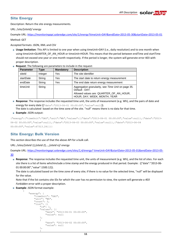#### <span id="page-10-0"></span>Site Energy

Description: Return the site energy measurements.

URL: /*site/{siteId}/ energy*

Example URL: *https://monitoringapi.solaredge.com/site/1/energy*[?timeUnit=DAY&endDate=2013-05-30&startDate=2013-05-01](https://monitoringapi.solaredge.com/site/1/energy?timeUnit=DAY&endDate=2013-05-30&startDate=2013-05-01) Method: GET

Accepted formats: JSON, XML and CSV

- **Usage limitation**: This API is limited to one year when using timeUnit=DAY (i.e., daily resolution) and to one month when using timeUnit=QUARTER\_OF\_AN\_HOUR or timeUnit=HOUR. This means that the period between endTime and startTime should not exceed one year or one month respectively. If the period is longer, the system will generate error 403 with proper description.
- **Request**: The following are parameters to include in the request:

| <b>Parameter</b> | Type    | <b>Mandatory</b> | <b>Description</b>                                                      |
|------------------|---------|------------------|-------------------------------------------------------------------------|
| siteld           | Integer | Yes              | The site identifier                                                     |
| startDate        | String  | Yes              | The start date to return energy measurement                             |
| endDate          | String  | Yes              | The end date return energy measurement                                  |
| timeUnit         | String  |                  | Aggregation granularity, see Time Unit on page 35.<br>Default: DAY.     |
|                  |         |                  | Allowed values are: QUARTER_OF_AN_HOUR,<br>HOUR, DAY, WEEK, MONTH, YEAR |

 **Response**: The response includes the requested time unit, the units of measurement (e.g. Wh), and the pairs of date and energy for every date ({"date":"2013-06-01 00:00:00","value":null}).

The date is calculated based on the time zone of the site. "null" means there is no data for that time.

#### **Example: JSON output:**

{"energy":{"timeUnit":"DAY","unit":"Wh","values":[{"date":"2013-06-01 00:00:00","value":null},{"date":"2013- 06-02 00:00:00","value":null},{"date":"2013-06-03 00:00:00","value":null},{"date":"2013-06-04 00:00:00","value":67313.24}]}}

## <span id="page-10-1"></span>Site Energy: Bulk Version

This section describes the use of that the above API for a bulk call.

URL: */sites/{siteId 1},{siteId 2},…,{siteId n}/ energy*

Example URL: *https://monitoringapi.solaredge.com/sites/1,4/energy?* [timeUnit=DAY&startDate=2013-05-01&endDate=2013-05-](https://monitoringapi.solaredge.com/sites/1,4/energy?api_key=123456&timeUnit=DAY&startDate=2013-05-01&endDate=2013-05-30) [30](https://monitoringapi.solaredge.com/sites/1,4/energy?api_key=123456&timeUnit=DAY&startDate=2013-05-01&endDate=2013-05-30)

 **Response**: The response includes the requested time unit, the units of measurement (e.g. Wh), and the list of sites. For each site there is a list of items whichinclude a time stamp and the energy produced in that period. Example: ({"date":"2013-06- 01 00:00:00","value":1500.12}).

The date is calculated based on the time zone of every site; if there is no value for the selected time, "null" will be displayed for the value.

Note that if the list contains site IDs for which the user has no permission to view, the system will generate a *403 Forbidden* error with a proper description.

**Example: JSON format example:** 

{

{

```
"energy": {
    "timeUnit": "DAY",
    "unit": "Wh",
    "count": 2,
    "list": [{
        "id": 1,
        "values": [{
            "date": "2013-06-01 00:00:00",
            "value": null
        },
        {
            "date": "2013-06-02 00:00:00",
            "value": null
        },
```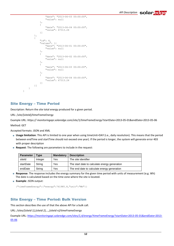```
"date": "2013-06-03 00:00:00",
                 "value": null
            },
            {
                 "date": "2013-06-04 00:00:00",
                 "value": 67313.24
            }]
        },
        {
            "id": 4,
             "values": [{
                 "date": "2013-06-01 00:00:00",
                 "value": null
            },
             {
                 "date": "2013-06-02 00:00:00",
                 "value": null
            },
             {
                 "date": "2013-06-03 00:00:00",
                 "value": null
            },
             {
                 "date": "2013-06-04 00:00:00",
                 "value": 67313.24
            }]
        }]
    }
}
```
# <span id="page-11-0"></span>Site Energy – Time Period

Description: Return the site total energy produced for a given period.

URL: /*site/{siteId}/timeFrameEnergy*

Example URL: *https:// monitoringapi.solaredge.com/site/1/timeFrameEnergy*?startDate=2013-05-01&endDate=2013-05-06

Method: GET

Accepted formats: JSON and XML

- **Usage limitation**: This API is limited to one year when using timeUnit=DAY (i.e., daily resolution). This means that the period between endTime and startTime should not exceed one year). If the period is longer, the system will generate error 403 with proper description
- **Request**: The following are parameters to include in the request:

| <b>Parameter</b> | Tvpe    | <b>Mandatory</b> | <b>Description</b>                            |
|------------------|---------|------------------|-----------------------------------------------|
| siteld           | Integer | Yes              | The site identifier                           |
| startDate        | String  | Yes              | The start date to calculate energy generation |
| endDate          | String  | Yes              | The end date to calculate energy generation   |

 **Response**: The response includes the energy summary for the given time period with units of measurement (e.g. Wh) The date is calculated based on the time zone where the site is located.

```
Example: JSON output:
```

```
{"timeFrameEnergy":{"energy":761985.8,"unit":"Wh"}}
```
# <span id="page-11-1"></span>Site Energy – Time Period: Bulk Version

This section describes the use of that the above API for a bulk call.

URL: */sites/{siteId 1},{siteId 2},…,{siteId n}/timeFrameEnergy*

Example URL: *[https://monitoringapi.solaredge.com/sites/1,4/energy?timeFrameEnergy](https://monitoringapi.solaredge.com/sites/1,4/energy?timeFrameEnergy?startDate=2013-05-01&endDate=2013-05-06)*?startDate=2013-05-01&endDate=2013- [05-06](https://monitoringapi.solaredge.com/sites/1,4/energy?timeFrameEnergy?startDate=2013-05-01&endDate=2013-05-06)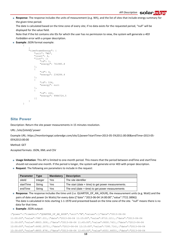**Response**: The response includes the units of measurement (e.g. Wh), and the list of sites that include energy summary for the given time period.

The date is calculated based on the time zone of every site; if no data exists for the requested period, "null" will be displayed for the value field.

Note that if the list contains site IDs for which the user has no permission to view, the system will generate a *403 Forbidden* error with a proper description.

**Example: JSON format example:** 

{

```
{
"timeFrameEnergy": {
    "unit": "Wh",
    "count": 4,
    "list": [{
        "id": 1,
         "energy": 761985.8
    },
    {
         "id": 4,
         "energy": 234284.4
    },
    {
         "id": 534,
         "energy": null
    },
    {
         "id": 222,
         "energy": 9984724.5
    }]
}
```
#### <span id="page-12-0"></span>Site Power

}

Description: Return the site power measurements in 15 minutes resolution.

#### URL: /*site/{siteId}/ power*

Example URL: *https://monitoringapi.solaredge.com/site/1/power*?startTime=2013-05-5%2011:00:00&endTime=2013-05- 05%2013:00:00

Method: GET

Accepted formats: JSON, XML and CSV

- **Usage limitation**: This API is limited to one-month period. This means that the period between endTime and startTime should not exceed one month. If the period is longer, the system will generate error 403 with proper description.
- **Request**: The following are parameters to include in the request:

| <b>Parameter</b> | Type    | <b>Mandatory</b> | <b>Description</b>                                   |
|------------------|---------|------------------|------------------------------------------------------|
| siteld           | Integer | Yes              | The site identifier                                  |
| startTime        | String  | Yes              | The start (date $+$ time) to get power measurements. |
| endTime          | String  | Yes              | The end (date $+$ time) to get power measurements    |

**Response**: The response includes the time unit (i.e. QUARTER\_OF\_AN\_HOUR), the measurement units (e.g. Watt) and the pairs of date and power (in Watts) for every date ({"date":"2013-06-04 14:00:00","value":7722.3896}) The date is calculated in ticks starting 1-1-1970 and presented based on the time zone of the site. "null" means there is no data for that time.

#### **Example**: JSON output:

```
{"power":{"timeUnit":"QUARTER_OF_AN_HOUR","unit":"W","values":[{"date":"2013-06-04 
11:00:00","value":7987.03},{"date":"2013-06-04 11:15:00","value":9710.121},{"date":"2013-06-04 
11:30:00","value":8803.309},{"date":"2013-06-04 11:45:00","value":9000.743},{"date":"2013-06-04 
12:00:00","value":6492.2075},{"date":"2013-06-04 12:15:00","value":7395.716},{"date":"2013-06-04 
12:30:00","value":8855.878},{"date":"2013-06-04 12:45:00","value":6551.6655},{"date":"2013-06-04
```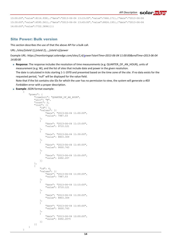```
13:00:00","value":8114.938},{"date":"2013-06-04 13:15:00","value":7466.171},{"date":"2013-06-04 
13:30:00","value":6595.561},{"date":"2013-06-04 13:45:00","value":8824.195},{"date":"2013-06-04 
14:00:00","value":7722.3896}]}}
```
## <span id="page-13-0"></span>Site Power: Bulk version

This section describes the use of that the above API for a bulk call.

URL: */sites/{siteId 1},{siteId 2},…,{siteId n}/power*

Example URL: *https://monitoringapi.solaredge.com/sites/1,4[/po](https://monitoringapi.solaredge.com/site/1/dataPeriod)wer?startTime=2013-06-04 11:00:00&endTime=2013-06-04 14:00:00* 

- **Response:** The response includes the resolution of time measurements (e.g. QUARTER\_OF\_AN\_HOUR), units of measurement (e.g. W), and the list of sites that include date and power in the given resolution. The date is calculated in ticks starting 1-1-1970 and presented based on the time zone of the site. If no data exists for the requested period, "null" will be displayed for the value field. Note that if the list contains site IDs for which the user has no permission to view, the system will generate a *403 Forbidden* error with a proper description.
- **Example: JSON format example:**

{

```
 "power": {
                                 "timeUnit": "QUARTER_OF_AN_HOUR",
                                 "unit": "W",
                                "count": 2,
                                 "list": [{
                                                "id": 1,
                                                 "values": [{
                                                                "date": "2013-06-04 11:00:00",
                                                                "value": 7987.03
                                                 },
 \left\{ \begin{array}{cc} 0 & 0 & 0 \\ 0 & 0 & 0 \\ 0 & 0 & 0 \\ 0 & 0 & 0 \\ 0 & 0 & 0 \\ 0 & 0 & 0 \\ 0 & 0 & 0 \\ 0 & 0 & 0 \\ 0 & 0 & 0 \\ 0 & 0 & 0 \\ 0 & 0 & 0 \\ 0 & 0 & 0 & 0 \\ 0 & 0 & 0 & 0 \\ 0 & 0 & 0 & 0 \\ 0 & 0 & 0 & 0 & 0 \\ 0 & 0 & 0 & 0 & 0 \\ 0 & 0 & 0 & 0 & 0 \\ 0 & 0 & 0 & 0 & 0 \\ 0 & 0 & 0 & 0 & 0 "date": "2013-06-04 11:15:00",
                                                                "value": 9710.121
                                                 },
 \left\{ \begin{array}{cc} 0 & 0 & 0 \\ 0 & 0 & 0 \\ 0 & 0 & 0 \\ 0 & 0 & 0 \\ 0 & 0 & 0 \\ 0 & 0 & 0 \\ 0 & 0 & 0 \\ 0 & 0 & 0 \\ 0 & 0 & 0 \\ 0 & 0 & 0 \\ 0 & 0 & 0 \\ 0 & 0 & 0 & 0 \\ 0 & 0 & 0 & 0 \\ 0 & 0 & 0 & 0 \\ 0 & 0 & 0 & 0 & 0 \\ 0 & 0 & 0 & 0 & 0 \\ 0 & 0 & 0 & 0 & 0 \\ 0 & 0 & 0 & 0 & 0 \\ 0 & 0 & 0 & 0 & 0 "date": "2013-06-04 11:30:00",
                                                                "value": 8803.309
                                                 },
 \left\{ \begin{array}{cc} 0 & 0 & 0 \\ 0 & 0 & 0 \\ 0 & 0 & 0 \\ 0 & 0 & 0 \\ 0 & 0 & 0 \\ 0 & 0 & 0 \\ 0 & 0 & 0 \\ 0 & 0 & 0 \\ 0 & 0 & 0 \\ 0 & 0 & 0 \\ 0 & 0 & 0 \\ 0 & 0 & 0 & 0 \\ 0 & 0 & 0 & 0 \\ 0 & 0 & 0 & 0 \\ 0 & 0 & 0 & 0 & 0 \\ 0 & 0 & 0 & 0 & 0 \\ 0 & 0 & 0 & 0 & 0 \\ 0 & 0 & 0 & 0 & 0 \\ 0 & 0 & 0 & 0 & 0 "date": "2013-06-04 11:45:00",
                                                                "value": 9000.743
  },
 \left\{ \begin{array}{cc} 0 & 0 & 0 \\ 0 & 0 & 0 \\ 0 & 0 & 0 \\ 0 & 0 & 0 \\ 0 & 0 & 0 \\ 0 & 0 & 0 \\ 0 & 0 & 0 \\ 0 & 0 & 0 \\ 0 & 0 & 0 \\ 0 & 0 & 0 \\ 0 & 0 & 0 \\ 0 & 0 & 0 & 0 \\ 0 & 0 & 0 & 0 \\ 0 & 0 & 0 & 0 \\ 0 & 0 & 0 & 0 & 0 \\ 0 & 0 & 0 & 0 & 0 \\ 0 & 0 & 0 & 0 & 0 \\ 0 & 0 & 0 & 0 & 0 \\ 0 & 0 & 0 & 0 & 0 "date": "2013-06-04 12:00:00",
                                                                "value": 6492.207
                                                }]
                                 },
 \{ "id": 4,
                                                 "values": [{
                                                                 "date": "2013-06-04 11:00:00",
                                                                "value": 7987.03
                                                 },
 \left\{ \begin{array}{cc} 0 & 0 & 0 \\ 0 & 0 & 0 \\ 0 & 0 & 0 \\ 0 & 0 & 0 \\ 0 & 0 & 0 \\ 0 & 0 & 0 \\ 0 & 0 & 0 \\ 0 & 0 & 0 \\ 0 & 0 & 0 \\ 0 & 0 & 0 \\ 0 & 0 & 0 \\ 0 & 0 & 0 & 0 \\ 0 & 0 & 0 & 0 \\ 0 & 0 & 0 & 0 \\ 0 & 0 & 0 & 0 & 0 \\ 0 & 0 & 0 & 0 & 0 \\ 0 & 0 & 0 & 0 & 0 \\ 0 & 0 & 0 & 0 & 0 \\ 0 & 0 & 0 & 0 & 0 "date": "2013-06-04 11:15:00",
                                                                "value": 9710.121
                                                 },
 \{ "date": "2013-06-04 11:30:00",
                                                                "value": 8803.309
                                                 },
 \left\{ \begin{array}{cc} 0 & 0 & 0 \\ 0 & 0 & 0 \\ 0 & 0 & 0 \\ 0 & 0 & 0 \\ 0 & 0 & 0 \\ 0 & 0 & 0 \\ 0 & 0 & 0 \\ 0 & 0 & 0 \\ 0 & 0 & 0 \\ 0 & 0 & 0 \\ 0 & 0 & 0 \\ 0 & 0 & 0 & 0 \\ 0 & 0 & 0 & 0 \\ 0 & 0 & 0 & 0 \\ 0 & 0 & 0 & 0 & 0 \\ 0 & 0 & 0 & 0 & 0 \\ 0 & 0 & 0 & 0 & 0 \\ 0 & 0 & 0 & 0 & 0 \\ 0 & 0 & 0 & 0 & 0 "date": "2013-06-04 11:45:00",
                                                                "value": 9000.743
                                                 },
 \left\{ \begin{array}{cc} 0 & 0 & 0 \\ 0 & 0 & 0 \\ 0 & 0 & 0 \\ 0 & 0 & 0 \\ 0 & 0 & 0 \\ 0 & 0 & 0 \\ 0 & 0 & 0 \\ 0 & 0 & 0 \\ 0 & 0 & 0 \\ 0 & 0 & 0 \\ 0 & 0 & 0 \\ 0 & 0 & 0 & 0 \\ 0 & 0 & 0 & 0 \\ 0 & 0 & 0 & 0 \\ 0 & 0 & 0 & 0 & 0 \\ 0 & 0 & 0 & 0 & 0 \\ 0 & 0 & 0 & 0 & 0 \\ 0 & 0 & 0 & 0 & 0 \\ 0 & 0 & 0 & 0 & 0 "date": "2013-06-04 12:00:00",
                                                                "value": 6492.2075
                                                }]
                                }]
               }
}
```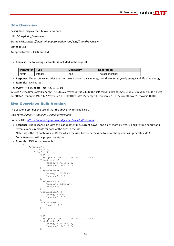#### <span id="page-14-0"></span>Site Overview

Description: Display the site overview data.

URL: /*site/{siteId}/ overview*

Example URL: *https://monitoringapi.solaredge.com/ site/{siteId}/overview*

Method: GET

Accepted formats: JSON and XML

**Request**: The following parameter is included in the request:

| <b>Parameter</b> | <b>Type</b> | <b>Mandatory</b> | <b>Description</b>  |
|------------------|-------------|------------------|---------------------|
| siteld           | Integer     | Yes              | The site identifier |

**Response**: The response includes the site current power, daily energy, monthly energy, yearly energy and life time energy.

**Example**: JSON output:

{"overview":{"lastUpdateTime":"2013-10-01

02:37:47","lifeTimeData":{"energy":761985.75,"revenue":946.13104},"lastYearData":{"energy":761985.8,"revenue":0.0},"lastM onthData":{"energy":492736.7,"revenue":0.0},"lastDayData":{"energy":0.0,"revenue":0.0},"currentPower":{"power":0.0}}}

# <span id="page-14-1"></span>Site Overview: Bulk Version

This section describes the use of that the above API for a bulk call.

URL: */sites/{siteId 1},{siteId 2},…,{siteId n}/overview*

Example URL: *<https://monitoringapi.solaredge.com/sites/1,4/overview>*

- **Response**: The response includes the last update time, current power, and daily, monthly, yearly and life time energy and revenue measurements for each of the sites in the list Note that if the list contains site IDs for which the user has no permission to view, the system will generate a *403 Forbidden* error with a proper description.
- **Example: JSON format example:**

{

```
"overview": {
    "count":2,"list": [{
        "id": 1,
        "lastUpdateTime": "2013-10-01 02:37:47",
        "lifeTimeData": {
            "energy": 761985.75,
            "revenue": 946.13104
        },
        "lastYearData": {
            "energy": 761985.8,
            "revenue": 0.0
        },
        "lastMonthData": {
            "energy": 492736.7,
            "revenue": 0.0
        },
        "lastDayData": {
            "energy": 0.0,
            "revenue": 0.0
        },
        "currentPower": {
            "power": 0.0
        }
    },
    {
        "id": 4,
        "lastUpdateTime": "2013-10-01 02:37:47",
        "lifeTimeData": {
            "energy": 761985.75,
            "revenue": 946.13104
        },
```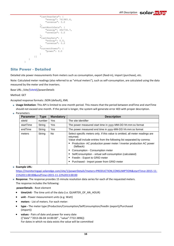```
"lastYearData": {
                "energy": 761985.8,
                "revenue": 0.0
            },
            "lastMonthData": {
                "energy": 492736.7,
                "revenue": 0.0
            },
            "lastDayData": {
                "energy": 0.0,
                "revenue": 0.0
            },
            "currentPower": {
                "power": 0.0
            }
       }]
   }
}
```
#### <span id="page-15-0"></span>Site Power - Detailed

Detailed site power measurements from meters such as consumption, export (feed-in), import (purchase), etc.

Note: Calculated meter readings (also referred to as "virtual meters"), such as self-consumption, are calculated using the data measured by the meter and the inverters.

Base URL: */site/{siteId}/powerDetails*

Method: GET

Accepted response formats: JSON (default)**,** XML

- **Usage limitation**: This API is limited to one-month period. This means that the period between endTime and startTime should not exceed one month. If the period is longer, the system will generate error 403 with proper description.
- **Parameters**

| <b>Parameter</b> | <b>Type</b> | <b>Mandatory</b> | <b>Description</b>                                                                                                                                                                                                                                                                                                                                                                                                                    |
|------------------|-------------|------------------|---------------------------------------------------------------------------------------------------------------------------------------------------------------------------------------------------------------------------------------------------------------------------------------------------------------------------------------------------------------------------------------------------------------------------------------|
| siteld           | number      | Yes              | The site identifier                                                                                                                                                                                                                                                                                                                                                                                                                   |
| startTime        | String      | Yes              | The power measured start time in yyyy-MM-DD hh:mm:ss format                                                                                                                                                                                                                                                                                                                                                                           |
| endTime          | String      | Yes              | The power measured end time in yyyy-MM-DD hh:mm:ss format                                                                                                                                                                                                                                                                                                                                                                             |
| meters           | String      | No.              | Select specific meters only. If this value is omitted, all meter readings are<br>returned.<br>Value shall include entries from the following list separated by comma:<br>Production-AC production power meter / inverter production AC power<br>(fallback)<br>Consumption - Consumption meter<br>SelfConsumption - virtual self-consumption (calculated)<br>FeedIn - Export to GRID meter<br>Purchased - Import power from GRID meter |

#### **Example URL**:

[https://monitoringapi.solaredge.com/site/1/powerDetails?meters=PRODUCTION,CONSUMPTION&startTime=2015-11-](https://monitoringapi.solaredge.com/site/1/powerDetails?meters=PRODUCTION,CONSUMPTION&startTime=2015-11-21%2011:00:00&endTime=2015-11-22%2013:00:00) [21%2011:00:00&endTime=2015-11-22%2013:00:00](https://monitoringapi.solaredge.com/site/1/powerDetails?meters=PRODUCTION,CONSUMPTION&startTime=2015-11-21%2011:00:00&endTime=2015-11-22%2013:00:00)

**Response**: The response provides 15 minute resolution data series for each of the requested meters.

The response includes the following:

**powerDetails** - Root element

- **•** timeUnit The time unit of the data (i.e. QUARTER\_OF\_AN\_HOUR)
- **unit -** Power measurement units (e.g. Watt)
- **meters** List of meters. For each meter:
- **type -** The meter type (Production/Consumption/SelfConsumption/FeedIn (export)/Purchased (import))
- **values** Pairs of date and power for every date ({"date":"2013-06-04 14:00:00" , "value":7722.3896}) For dates in which no data exists the value will be committed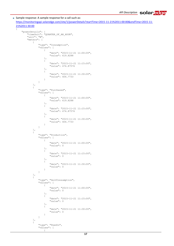```
■ Sample response: A sample response for a call such as:
  https://monitoringapi.solaredge.com/site/1/powerDetails?startTime=2015-11-21%2011:00:00&endTime=2015-11-
  21%2011:30:00
  {
      "powerDetails": {
           "timeUnit": "QUARTER_OF_AN_HOUR",
           "unit": "W",
           "meters": [
               {
                   "type": "Consumption",
                   "values": [
                        {
                            "date": "2015-11-21 11:00:00",
                            "value": 619.8288
                        },
                        {
                            "date": "2015-11-21 11:15:00",
                            "value": 474.87576
                        },
                        {
                            "date": "2015-11-21 11:30:00",
                            "value": 404.7733
                        }
                   ]
               },
               {
                   "type": "Purchased",
                   "values": [
                       \left| \cdot \right|"date": "2015-11-21 11:00:00",
                            "value": 619.8288
                        },
                        {
                            "date": "2015-11-21 11:15:00",
                            "value": 474.87576
                        },
                        {
                            "date": "2015-11-21 11:30:00",
                            "value": 404.7733
                        }
                   ]
               },
               {
                   "type": "Production",
                   "values": [
                       {
                            "date": "2015-11-21 11:00:00",
                            "value": 0
                        },
                        {
                            "date": "2015-11-21 11:15:00",
                            "value": 0
                        },
                        {
                            "date": "2015-11-21 11:30:00",
                            "value": 0
                        }
                   ]
               },
               {
                   "type": "SelfConsumption",
                   "values": [
                       {
                            "date": "2015-11-21 11:00:00",
                            "value": 0
                        },
                        {
                            "date": "2015-11-21 11:15:00",
                            "value": 0
                        },
                        {
                            "date": "2015-11-21 11:30:00",
                            "value": 0
                        }
                   ]
               },
               {
                   "type": "FeedIn",
```
"values": [  $\left\{ \begin{array}{c} \end{array} \right\}$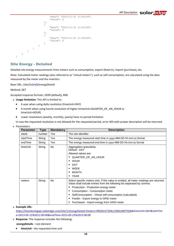```
"date": "2015-11-21 11:00:00",
                         "value": 0
                     },
                     {
                         "date": "2015-11-21 11:15:00",
                         "value": 0
                     },
                     {
                         "date": "2015-11-21 11:30:00",
                         "value": 0
                     }
                ]
           }
       ]
    }
}
```
#### <span id="page-17-0"></span>Site Energy - Detailed

Detailed site energy measurements from meters such as consumption, export (feed-in), import (purchase), etc.

Note: Calculated meter readings (also referred to as "virtual meters"), such as self-consumption, are calculated using the data measured by the meter and the inverters.

Base URL: */site/{siteId}/energyDetails*

Method: GET

Accepted response formats: JSON (default)**,** XML

- **Usage limitation**: This API is limited to:
	- A year when using daily resolution (timeUnit=DAY)
	- A month when using hourly resolution of higher (timeUnit=QUARTER\_OF\_AN\_HOUR or timeUnit=HOUR)
	- Lower resolutions (weekly, monthly, yearly) have no period limitation

In case the requested resolution is not allowed for the requested period, error 403 with proper description will be returned.

| <b>Parameter</b> | Type   | <b>Mandatory</b> | <b>Description</b>                                                                                                                                                 |  |
|------------------|--------|------------------|--------------------------------------------------------------------------------------------------------------------------------------------------------------------|--|
| siteld           | number | <b>Yes</b>       | The site identifier                                                                                                                                                |  |
| startTime        | String | <b>Yes</b>       | The energy measured start time in yyyy-MM-DD hh:mm:ss format                                                                                                       |  |
| endTime          | String | Yes              | The energy measured end time in yyyy-MM-DD hh:mm:ss format                                                                                                         |  |
| timeUnit         | String | <b>No</b>        | Aggregation granularity.<br>Default: DAY                                                                                                                           |  |
|                  |        |                  | Allowed values are:                                                                                                                                                |  |
|                  |        |                  | QUARTER_OF_AN_HOUR<br>٠                                                                                                                                            |  |
|                  |        |                  | <b>HOUR</b><br>٠                                                                                                                                                   |  |
|                  |        |                  | <b>DAY</b><br>٠                                                                                                                                                    |  |
|                  |        |                  | <b>WEEK</b><br>п                                                                                                                                                   |  |
|                  |        |                  | <b>MONTH</b><br>٠                                                                                                                                                  |  |
|                  |        |                  | <b>YEAR</b><br>٠                                                                                                                                                   |  |
| meters           | String | No               | Select specific meters only. If this value is omitted, all meter readings are returned.<br>Value shall include entries from the following list separated by comma: |  |
|                  |        |                  | Production - Production energy meter<br>٠                                                                                                                          |  |
|                  |        |                  | Consumption - Consumption meter<br>٠                                                                                                                               |  |
|                  |        |                  | SelfConsumption - Virtual self-consumption (calculated)<br>٠                                                                                                       |  |
|                  |        |                  | FeedIn - Export energy to GRID meter<br>п                                                                                                                          |  |
|                  |        |                  | Purchased - Import energy from GRID meter<br>٠                                                                                                                     |  |

Parameters:

**Example URL**:

*[https://monitoringapi.solaredge.com/site/1/energyDetails?meters=PRODUCTION,CONSUMPTION&](https://monitoringapi.solaredge.com/site/1/power)timeUnit=DAY&startTim e=2013-05-15%2011:00:00&endTime=2013-05-25%2013:00:00*

**Response:** The response includes the following:

**energyDetails** - root element

**timeUnit -** the requested time unit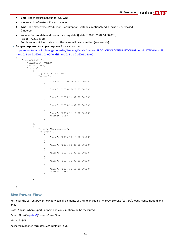- **unit -** The measurement units (e.g. Wh)
- **meters** List of meters. For each meter:
- **type -** The meter type (Production/Consumption/SelfConsumption/FeedIn (export)/Purchased (import))
- **values** Pairs of date and power for every date ({"date":"2013-06-04 14:00:00" , "value":7722.3896}).

For dates in which no data exists the value will be committed (see sample)

**Sample response:** A sample response for a call such as:

[https://monitoringapi.solaredge.com/site/1/energyDetails?meters=PRODUCTION,CONSUMPTION&timeUnit=WEEK&startTi](https://monitoringapi.solaredge.com/site/1/energyDetails?meters=PRODUCTION,CONSUMPTION&timeUnit=WEEK&startTime=2015-10-21%2011:00:00&endTime=2015-11-21%2011:30:00) [me=2015-10-21%2011:00:00&endTime=2015-11-21%2011:30:00](https://monitoringapi.solaredge.com/site/1/energyDetails?meters=PRODUCTION,CONSUMPTION&timeUnit=WEEK&startTime=2015-10-21%2011:00:00&endTime=2015-11-21%2011:30:00)

```
{
   "energyDetails": {
      "timeUnit": "WEEK",
      "unit": "Wh",
      "meters": [
\{ "type": "Production",
           "values": [
{<br>}
                  "date": "2015-10-19 00:00:00"
 },
              {
                  "date": "2015-10-26 00:00:00"
 },
              {
                  "date": "2015-11-02 00:00:00"
 },
              {
                  "date": "2015-11-09 00:00:00"
 },
              {
                  "date": "2015-11-16 00:00:00",
                  "value": 2953
 }
 ]
         },
\{ "type": "Consumption",
           "values": [
{
                  "date": "2015-10-19 00:00:00"
 },
              {
                  "date": "2015-10-26 00:00:00"
 },
              {
                  "date": "2015-11-02 00:00:00"
 },
              {
                  "date": "2015-11-09 00:00:00"
 },
              {
                  "date": "2015-11-16 00:00:00",
                  "value": 29885
 }
 ]
         }
      ]
   }
}
```
#### <span id="page-18-0"></span>Site Power Flow

Retrieves the current power flow between all elements of the site including PV array, storage (battery), loads (consumption) and grid.

Note: Applies when export , import and consumption can be measured.

Base URL: */site/{siteId}/currentPowerFlow*

Method: GET

Accepted response formats: JSON (default)**,** XML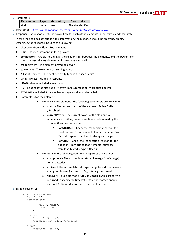#### Parameters:

| <b>Parameter</b> | Type         | <b>Mandatory</b> | <b>Description</b>  |
|------------------|--------------|------------------|---------------------|
| siteld           | number   Yes |                  | The site identifier |

- **Example URL**: *[https://monitoringapi.solaredge.com/site/1/currentPowerFlow](https://monitoringapi.solaredge.com/site/1/power)*
- **Response**: The response returns power flow for each of the elements in the system and their state. In case the site does not support this information, the response should be an empty object.

Otherwise, the response includes the following:

- siteCurrentPowerFlow Root element
- **unit -** The measurement units (e.g. Watt)
- **connections** A table including all the relationships between the elements, and the power flow directions (producing element and consuming element)
- **from** element The element providing power
- **to** element The element consuming power
- A list of elements Element per entity type in the specific site
- **GRID** always included in response
- **LOAD** always included in response
- **PV** included if the site has a PV array (measurement of PV produced power)
- **STORAGE** included if the site has storage installed and enabled
- Parameters for each element:
	- For all included elements, the following parameters are provided:
		- o **status** The current status of the element (**Active / Idle** / **Disabled**)
	- o **currentPower** The current power of the element. All numbers are positive; power direction is determined by the "connections" section above:
		- For **STORAGE** Check the "connection" section for the direction. From storage to load = discharge. From PV to storage or from load to storage = charge.
		- **FORID** Check the "connection" section for the direction. From grid to load = import (purchase), from load to grid = export (feed-in).
	- For Storage, the following additional properties are included:
		- o **chargeLevel** The accumulated state of energy (% of charge) for all batteries
		- o **critical** If the accumulated storage charge level drops below a configurable level (currently 10%), this flag is returned
		- o **timeLeft** In Backup mode (**GRID** is **Disabled**), this property is returned to specify the time left before the storage energy runs out (estimated according to current load level).

#### ■ Sample response:

```
{
    "siteCurrentPowerFlow": {
         "unit": "W",
        "connections": [
            {
                 "from": "GRID",
                "to": "Load"
            }
        ],
        "GRID": {
            "status": "Active",
            "currentPower": 3435.77978515625
        },
        "LOAD": {
            "status": "Active",
```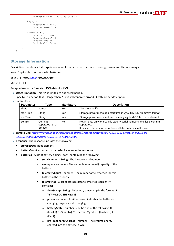```
"currentPower": 3435.77978515625
        },
        "PV": {
            "status": "Idle",
            "currentPower": 0
        },
        "STORAGE": {
            "status": "Idle",
            "currentPower": 0,
             "chargeLevel": 27,
            "critical": false
        }
    }
}
```
# <span id="page-20-0"></span>Storage Information

Description: Get detailed storage information from batteries: the state of energy, power and lifetime energy.

Note: Applicable to systems with batteries.

Base URL: */site/{siteId}/storageData*

#### Method: GET

Accepted response formats: **JSON** (default)**,** XML

- **Usage limitation**: This API is limited to one-week period.
- Specifying a period that is longer than 7 days will generate error 403 with proper description.
- **Parameters:**

| <b>Parameter</b> | Type                                  | <b>Mandatory</b> | <b>Description</b>                                                                                                                                       |
|------------------|---------------------------------------|------------------|----------------------------------------------------------------------------------------------------------------------------------------------------------|
| siteld           | number                                | Yes              | The site identifier                                                                                                                                      |
| startTime        | String                                | Yes              | Storage power measured start time in yyyy-MM-DD hh:mm:ss format                                                                                          |
| endTime          | String                                | Yes              | Storage power measured end time in yyyy-MM-DD hh:mm:ss format                                                                                            |
| serials          | Comma<br>separated list of<br>Strings | No.              | Return data only for specific battery serial numbers; the list is comma<br>separated.<br>If omitted, the response includes all the batteries in the site |

- **Sample URL**: *[https://monitoringapi.solaredge.com/site/1/storageData?serials=1111,2222&startTime=2015-05-](https://monitoringapi.solaredge.com/site/1/storageData?snList=1111,2222&startTime=2015-05-22%2011:00:00&endTime=2015-05-25%2013:00:00) [22%2011:00:00&endTime=2015-05-25%2013:00:00](https://monitoringapi.solaredge.com/site/1/storageData?snList=1111,2222&startTime=2015-05-22%2011:00:00&endTime=2015-05-25%2013:00:00)*
- **Response:** The response includes the following:
	- **storageData** Root element
	- **batteryCount** -Number of batteries includes in the response
	- **batteries** A list of battery objects, each containing the following:
		- **serialNumber** String The battery serial number
		- **nameplate** number The nameplate (nominal) capacity of the battery
		- **telemetryCount** number The number of telemetries for this battery in the response
		- **telemetries** A list of storage data telemetries. each entry contains:
			- o **timeStamp** String Telemetry timestamp in the format of **YYY-MM-DD HH:MM:SS**
			- o **power** number Positive power indicates the battery is charging, negative is discharging.
			- o **batteryState** number can be one of the following: 0 (Invalid), 1 (Standby), 2 (Thermal Mgmt.), 3 (Enabled), 4 (Fault)
			- o **lifeTimeEnergyCharged** number The lifetime energy charged into the battery in Wh.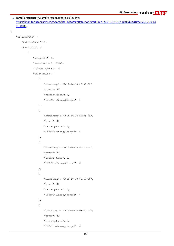```
Sample response: A sample response for a call such as:
   https://monitoringapi.solaredge.com/site/1/storageData.json?startTime=2015-10-13 07:40:00&endTime=2015-10-13 
   11:40:00
{
    "storageData": {
        "batteryCount": 1,
        "batteries": [
            {
                "nameplate": 1,
                "serialNumber": "BFA",
                "telemetryCount": 9,
                "telemetries": [
                     {
                         "timeStamp": "2015-10-13 08:00:00",
                         "power": 12,
                         "batteryState": 3,
                         "lifeTimeEnergyCharged": 6
                     },
                     {
                         "timeStamp": "2015-10-13 08:05:00",
                         "power": 12,
                         "batteryState": 3,
                         "lifeTimeEnergyCharged": 6
                     },
                     {
                         "timeStamp": "2015-10-13 08:10:00",
                         "power": 12,
                         "batteryState": 3,
                         "lifeTimeEnergyCharged": 6
                     },
                     {
                         "timeStamp": "2015-10-13 08:15:00",
                         "power": 12,
                         "batteryState": 3,
                         "lifeTimeEnergyCharged": 6
                     },
                     {
                         "timeStamp": "2015-10-13 08:20:00",
                         "power": 12,
                         "batteryState": 3,
                         "lifeTimeEnergyCharged": 6
```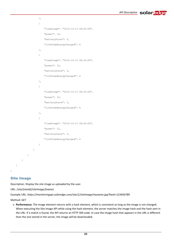```
},
                 {
                     "timeStamp": "2015-10-13 08:25:00",
                     "power": 12,
                     "batteryState": 3,
                     "lifeTimeEnergyCharged": 6
                },
                 {
                     "timeStamp": "2015-10-13 08:30:00",
                     "power": 12,
                     "batteryState": 3,
                     "lifeTimeEnergyCharged": 6
                 },
                 {
                     "timeStamp": "2015-10-13 08:35:00",
                     "power": 12,
                     "batteryState": 3,
                     "lifeTimeEnergyCharged": 6
                 },
                 {
                     "timeStamp": "2015-10-13 08:40:00",
                     "power": 12,
                     "batteryState": 3,
                     "lifeTimeEnergyCharged": 6
                }
            ]
        }
   ]
}
```
## Site Image

<span id="page-22-0"></span>}

Description: Display the site image as uploaded by the user.

URL: /*site/{siteId}/siteImage/{name}*

Example URL: *https://monitoringapi.solaredge.com/site/1/siteImage/myname.jpg?hash=123456789*

Method: GET

**Performance**: The image element returns with a hash element, which is consistent as long as the image is not changed. When executing the Site Image API while using the hash element, the server matches the image hash and the hash sent in the URL. If a match is found, the API returns an HTTP 304 code. In case the image hash that appears in the URL is different than the one stored in the server, the image will be downloaded.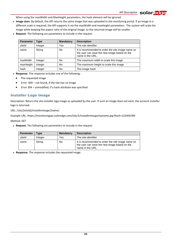When using the maxWidth and MaxHeight parameters, the hash element will be ignored.

- **Image sizes**: By default, the API returns the same image that was uploaded to the monitoring portal. If an image in a different scale is required, the API supports it via the maxWidth and maxHeight parameters. The system will scale the image while keeping the aspect ratio of the original image, so the returned image will be smaller.
- **Request**: The following are parameters to include in the request:

| <b>Parameter</b> | Type    | <b>Mandatory</b> | <b>Description</b>                                                                                                    |
|------------------|---------|------------------|-----------------------------------------------------------------------------------------------------------------------|
| siteld           | Integer | Yes              | The site identifier                                                                                                   |
| name             | String  | No               | It is recommended to enter the site image name so<br>the user can save the new image based on the<br>name in the URL. |
| maxWidth         | Integer | No               | The maximum width to scale this image                                                                                 |
| maxHeight        | Integer | No               | The maximum height to scale this image                                                                                |
| hash             | Integer | No               | The image hash                                                                                                        |

- **Response**: The response includes one of the following:
	- The requested image
	- Error 404 not found, if the site has no image
	- Error 304 unmodified, if a hash attribute was specified

#### <span id="page-23-0"></span>Installer Logo Image

Description: Return the site installer logo image as uploaded by the user. If such an image does not exist, the account installer logo is returned.

URL: /*site/{siteId}/installerImage/{name}*

Example URL: *https://monitoringapi.solaredge.com/site/1/installerImage/myname.jpg?hash=123456789*

Method: GET

**Request**: The following are parameters to include in the request:

| <b>Parameter</b> | <b>Type</b> | <b>Mandatory</b> | <b>Description</b>                                                                                                    |
|------------------|-------------|------------------|-----------------------------------------------------------------------------------------------------------------------|
| siteld           | Integer     | Yes              | The site identifier                                                                                                   |
| name             | String      | No               | It is recommended to enter the site image name so<br>the user can save the new image based on the<br>name in the URL. |

**Response:** The response includes the requested image.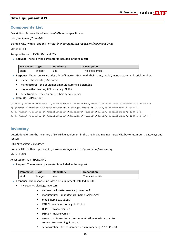#### <span id="page-24-0"></span>Site Equipment API

#### <span id="page-24-1"></span>Components List

Description: Return a list of inverters/SMIs in the specific site.

#### URL: */equipment/{siteId}/list*

Example URL (with all options): *https://monitoringapi.solaredge.com/equipment/2/list*

Method: GET

Accepted formats: JSON, XML and CSV

**Request:** The following parameter is included in the request:

| <b>Parameter</b> | $T$ vpe | <b>Mandatory</b> | <b>Description</b>  |
|------------------|---------|------------------|---------------------|
| siteld           | Inteaer | Yes              | The site identifier |

**Response**: The response includes a list of inverters/SMIs with their name, model, manufacturer and serial number..

- name the inverter/SMI name
- manufacturer the equipment manufacturer e.g. SolarEdge
- model the inverter/SMI model e.g. SE16K
- serialNumber the equipment short serial number
- **Example**: JSON output:

```
{"list":[{"name":"Inverter 1","manufacturer":"SolarEdge","model":"SE16K","serialNumber":"12345678-00 
"},{"name":"Inverter 1","manufacturer":"SolarEdge","model":"SE16K","serialNumber":"12345678-
00"},{"name":"Inverter 1","manufacturer":"SolarEdge","model":"SE16K","serialNumber":"12345678-
00"},{"name":"Inverter 1","manufacturer":"SolarEdge","model":"SE16K","serialNumber":"12345678-65"}]}
```
#### <span id="page-24-2"></span>Inventory

Description: Return the inventory of SolarEdge equipment in the site, including: inverters/SMIs, batteries, meters, gateways and sensors.

URL: */site/{siteId}/Inventory*

Example URL (with all options): *https://monitoringapi.solaredge.com/site/2/Inventory*

Method: GET

Accepted formats: JSON, XML

**Request**: The following parameter is included in the request:

| <b>Parameter</b> | vpe     | <b>Mandatory</b> | <b>Description</b>  |
|------------------|---------|------------------|---------------------|
| siteld           | Integer | Yes              | The site identifier |

- **Response**: The response includes a list equipment installed on site:
	- Inverters SolarEdge inverters
		- name the inverter name e.g. Inverter 1
		- manufacturer manufacturer name (SolarEdge)
		- model name e.g. SE16K
		- CPU Firmware version e.g. 2.52.311
		- **DSP 1 Firmware version**
		- DSP 2 Firmware version
		- communicationMethod the communication interface used to connect to server. E.g. Ethernet.
		- serialNumber the equipment serial number e.g. 7F123456-00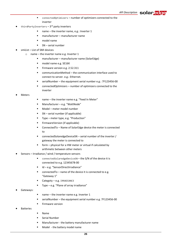- connectedOptimizers number of optimizers connected to the inverter
- thirdPartyInverters 3<sup>rd</sup> party inverters
	- name the inverter name, e.g.: Inverter 1
	- manufacturer manufacturer name
	- model name
	- SN serial number
- smiList List of SMI devices
	- o name the inverter name e.g. Inverter 1
		- manufacturer manufacturer name (SolarEdge)
		- model name e.g. SE16K
		- Firmware version e.g. 2.52.311
		- communicationMethod the communication interface used to connect to server. e.g.: Ethernet.
		- serialNumber the equipment serial number e.g.: 7F123456-00
		- connectedOptimizers number of optimizers connected to the inverter
- Meters
- name the inverter name e.g. "Feed In Meter"
- Manufacturer e.g. "WattNode"
- Model meter model number
- SN serial number (if applicable)
- Type meter type, e.g. "Production"
- FirmwareVersion (if applicable)
- ConnectedTo Name of SolarEdge device the meter is connected to
- connectedSolaredgeDeviceSN serial number of the inverter / gateway the meter is connected to
- form physical for a HW meter or virtual if calculated by arithmetic between other meters
- Sensors Irradiance / wind / temperature sensors
	- connectedSolaredgeDeviceSN the S/N of the device it is connected to e.g. 12345678-00
	- Id e.g. "SensorDirectIrradiance"
	- connectedTo name of the device it is connected to e.g. "Gateway 1"
	- Categoty e.g. IRRADIANCE
	- Type e.g. "Plane of array irradiance"
- Gateways:
- name the inverter name e.g. Inverter 1
- serialNumber the equipment serial number e.g. 7F123456-00
- **Firmware version**
- **Batteries**
- Name
- Serial Number
- Manufacturer the battery manufacturer name
- Model the battery model name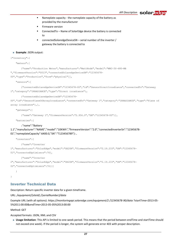- Nameplate capacity the nameplate capacity of the battery as provided by the manufacturer
- Firmware version
- ConnectedTo Name of SolarEdge device the battery is connected to
- connectedSolaredgeDeviceSN serial number of the inverter / gateway the battery is connected to

#### **Example**: JSON output:

```
{"Inventory":{
```
"meters":[

{"name":"Production Meter","manufacturer":"WattNode","model":"WNC-3Y-480-MB ","firmwareVersion":"0013","connectedSolaredgeDeviceSN":"12345678- 00","type":"Production","form":"physical"}],

"sensors":[

{"connectedSolaredgeDeviceSN":"12345678-00","id":"SensorDirectIrradiance","connectedTo":"Gateway 1","category":"IRRADIANCE","type":"Direct irradiance"},

```
{"connectedSolaredgeDeviceSN":"12345678-
```
00","id":"SensorPlaneOfArrayIrradiance","connectedTo":"Gateway 1","category":"IRRADIANCE","type":"Plane of array irradiance"},],

"gateways":[

```
{"name":"Gateway 1","firmwareVersion":"2.956.0","SN":"12345678-00"}],
```
"batteries":[

{"name":"Battery

```
1.1","manufacturer":"NAME","model":"10KWh","firmwareVersion":"2.0","connectedInverterSn":"12345678-
01","nameplateCapacity":6400.0,"SN":"T123456789"}],
```

```
"inverters":[
```
{"name":"Inverter

```
1","manufacturer":"SolarEdge","model":"SE20K","firmwareVersion":"2.19.233","SN":"12345678-
```
01","connectedOptimizers":76},

```
{"name":"Inverter
```

```
2","manufacturer":"SolarEdge","model":"SE20K","firmwareVersion":"2.19.233","SN":"12345678-
```

```
02", "connectedOptimizers":76}}]
```
 $\left| \right|$ 

}

# <span id="page-26-0"></span>Inverter Technical Data

Description: Return specific inverter data for a given timeframe.

URL: */equipment/{siteId} /{serialNumber}/data*

Example URL (with all options): *https://monitoringapi.solaredge.com/equipment/2 /12345678-90/data* ?startTime=2013-05- 5%2011:00:00&endTime=2013-05-05%2013:00:00

Method: GET

Accepted formats: JSON, XML and CSV

 **Usage limitation**: This API is limited to one-week period. This means that the period between endTime and startTime should not exceed one week). If the period is longer, the system will generate error 403 with proper description.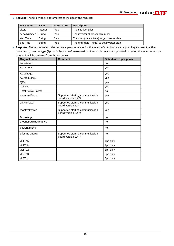**Request**: The following are parameters to include in the request:

| <b>Parameter</b> | Type    | <b>Mandatory</b> | <b>Description</b>                             |
|------------------|---------|------------------|------------------------------------------------|
| siteld           | Integer | Yes              | The site identifier                            |
| serialNumber     | String  | Yes              | The inverter short serial number               |
| startTime        | String  | Yes              | The start (date $+$ time) to get inverter data |
| endTime          | String  | Yes              | The end (date $+$ time) to get inverter data   |

 **Response**: The response includes technical parameters as for the inverter's performance (e.g., voltage, current, active power etc.), inverter type (1ph or 3ph), and software version. If an attribute is not supported based on the inverter version or type it will be omitted from the response.

| <b>Original name</b>      | <b>Comment</b>                                          | Data divided per phase |
|---------------------------|---------------------------------------------------------|------------------------|
| timestamp                 |                                                         | no                     |
| Ac current                |                                                         | yes                    |
| Ac voltage                |                                                         | yes                    |
| AC frequency              |                                                         | yes                    |
| QRef                      |                                                         | yes                    |
| CosPhi                    |                                                         | yes                    |
| <b>Total Active Power</b> |                                                         | no                     |
| apparentPower             | Supported starting communication<br>board version 2.474 | yes                    |
| activePower               | Supported starting communication<br>board version 2.474 | yes                    |
| reactivePower             | Supported starting communication<br>board version 2.474 | yes                    |
| Dc voltage                |                                                         | no                     |
| groundFaultResistance     |                                                         | no                     |
| powerLimit %              |                                                         | no                     |
| Lifetime energy           | Supported starting communication<br>board version 2.474 | no                     |
| vL1ToN                    |                                                         | 1ph only               |
| vL2ToN                    |                                                         | 1ph only               |
| vL1To2                    |                                                         | 3ph only               |
| vL2To3                    |                                                         | 3ph only               |
| vL3To1                    |                                                         | 3ph only               |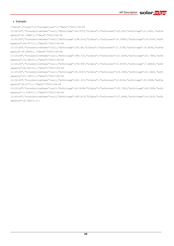#### **Example:**

{"data":{"count":9,"telemetries":[{"date":"2013-06-04 11:00:00","totalActivePower":null,"dcVoltage":46.9757,"L1Data":{"acCurrent":22.653,"acVoltage":11.6201,"acFre quency":41.3468}},{"date":"2013-06-04 11:05:00","totalActivePower":null,"dcVoltage":238.514,"L1Data":{"acCurrent":9.76655,"acVoltage":19.0102,"acFr equency":49.5571}},{"date":"2013-06-04 11:10:00","totalActivePower":null,"dcVoltage":195.84,"L1Data":{"acCurrent":11.5758,"acVoltage":16.8566,"acFre quency":36.9939}},{"date":"2013-06-04 11:15:00","totalActivePower":null,"dcVoltage":394.716,"L1Data":{"acCurrent":21.4308,"acVoltage":20.7485,"acFr equency":10.4653}},{"date":"2013-06-04 11:20:00","totalActivePower":null,"dcVoltage":378.997,"L1Data":{"acCurrent":5.50747,"acVoltage":7.48402,"acFr equency":46.8013}},{"date":"2013-06-04 11:25:00","totalActivePower":null,"dcVoltage":45.9107,"L1Data":{"acCurrent":26.3345,"acVoltage":21.2422,"acFr equency":21.1001}},{"date":"2013-06-04 11:30:00","totalActivePower":null,"dcVoltage":281.313,"L1Data":{"acCurrent":2.6314,"acVoltage":32.9308,"acFre quency":26.677}},{"date":"2013-06-04 11:35:00","totalActivePower":null,"dcVoltage":45.9194,"L1Data":{"acCurrent":25.7302,"acVoltage":28.5508,"acFr equency":3.33931}},{"date":"2013-06-04 11:40:00","totalActivePower":null,"dcVoltage":383.813,"L1Data":{"acCurrent":27.6644,"acVoltage":14.0232,"acFr equency":32.8427}}]}}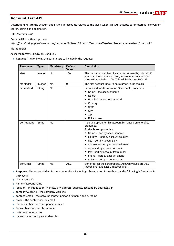# <span id="page-29-0"></span>Account List API

Description: Return the account and list of sub-accounts related to the given token. This API accepts parameters for convenient search, sorting and pagination.

URL: */accounts/list*

Example URL (with all options):

*https://monitoringapi.solaredge.com/accounts/list?size=5&searchText=someText&sortProperty=name&sortOrder=ASC*

Method: GET

Accepted formats: JSON, XML and CSV

**Request**: The following are parameters to include in the request:

| <b>Parameter</b> | <b>Type</b> | <b>Mandatory</b> | <b>Default</b><br>Value | <b>Description</b>                                                                                                                                                                                                                                                                                                                                                                                                |
|------------------|-------------|------------------|-------------------------|-------------------------------------------------------------------------------------------------------------------------------------------------------------------------------------------------------------------------------------------------------------------------------------------------------------------------------------------------------------------------------------------------------------------|
| size             | Integer     | <b>No</b>        | 100                     | The maximum number of accounts returned by this call. If<br>you have more than 100 sites, just request another 100<br>sites with startIndex=100. This will fetch sites 100-199.                                                                                                                                                                                                                                   |
| startIndex       | Integer     | <b>No</b>        | $\Omega$                | The first account index to be returned in the results                                                                                                                                                                                                                                                                                                                                                             |
| searchText       | String      | No               |                         | Search text for this account. Searchable properties:<br>Name – the account name<br><b>Notes</b><br>٠<br>Email - contact person email<br>٠<br>Country<br>٠<br>State<br>٠<br>City<br>٠<br>Zip<br>٠<br>Full address                                                                                                                                                                                                  |
| sortProperty     | String      | <b>No</b>        |                         | A sorting option for this account list, based on one of its<br>properties.<br>Available sort properties:<br>Name - sort by account name<br>country - sort by account country<br>٠<br>city – sort by account city<br>٠<br>address - sort by account address<br>zip – sort by account zip code<br>٠<br>fax – sort by account fax number<br>٠<br>phone – sort by account phone<br>notes – sort by account notes<br>٠ |
| sortOrder        | String      | <b>No</b>        | <b>ASC</b>              | Sort order for the sort property. Allowed values are ASC<br>(ascending) and DESC (descending).                                                                                                                                                                                                                                                                                                                    |

- **Response**: The returned data is the account data, including sub-accounts. For each entry, the following information is displayed:
- $id$  account ID
- $\Box$  name account name
- location includes country, state, city, address, address2 (secondary address), zip
- companyWebSite the company web site
- contactPerson the account contact person first name and surname
- email the contact person email
- $\Box$  phoneNumber account phone number
- $\blacksquare$  faxNumber account fax number
- $\blacksquare$  notes account notes
- $\Box$  parentId account parent identifier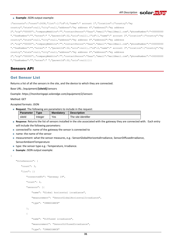#### **Example**: JSON output example:

{"accounts":{"count":2638,"list":[{"id":0,"name":" account 1","location":{"country":"my

country","state":null,"city":null,"address":"my address 4","address2":"my address

2","zip":"00000"},"companyWebSite":"","contactPerson":"Saar","email":"mail@mail.com","phoneNumber":"+00000000 ","faxNumber":"","notes":" ","parentId":32,"uris":null},{"id":1,"name":" account 2","location":{"country":"my country","state":null,"city":null,"address":"my address 4","address2":"my address

2","zip":"00000"},"companyWebSite":"","contactPerson":"Saar","email":"mail@mail.com","phoneNumber":"+00000000 ","faxNumber":"","notes":" ","parentId":32,"uris":null},{"id":2,"name":" account 3","location":{"country":"my country","state":null,"city":null,"address":"my address 4","address2":"my address

2","zip":"00000"},"companyWebSite":"","contactPerson":"Saar","email":"mail@mail.com","phoneNumber":"+00000000 ","faxNumber":"","notes":" ","parentId":32,"uris":null}]}}

#### <span id="page-30-0"></span>Sensors API

#### <span id="page-30-1"></span>Get Sensor List

Returns a list of all the sensors in the site, and the device to which they are connected.

Base URL: /equipment/**{siteId}**/sensors

Example: *https://monitoringapi.solaredge.com/equipment/2/sensors*

Method: GET

{

Accepted formats: JSON

**Request**: The following are parameters to include in the request:

| <b>Parameter</b> | <b>Mandatory</b><br><b>Type</b> |     | <b>Description</b>  |
|------------------|---------------------------------|-----|---------------------|
| siteld           | Integer                         | Yes | The site identifier |

- **Response**: Returns the list of sensors installed in the site associated with the gateway they are connected with. Each entry will include the following parameters:
- connectedTo: name of the gateway the sensor is connected to
- name: the name of the sensor
- measurement: what the sensor measures, e.g.: SensorGlobalHorizontalIrradiance, SensorDiffusedIrradiance, SensorAmbientTemperature
- type: the sensor type e.g.: Temperature, Irradiance.
- **Example: JSON output example:**

```
"SiteSensors": {
   "count": 3,
   "list": [{
       "connectedTo": "Gateway 19",
       "count": 2,
       "sensors": [{
           "name": "Global horizontal irradiance",
           "measurement": "SensorGlobalHorizontalIrradiance",
           "type": "IRREDIANCE"
       },
        {
           "name": "Diffused irradiance",
           "measurement": "SensorDiffusedIrradiance",
           "type": "IRRADIANCE"
```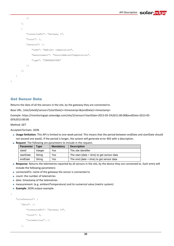```
}]
   },
   {
       "connectedTo": "Gateway 1",
       "count": 1,
       "sensors": [{
           "name": "Ambient temperature",
           "measurement": "SensorAmbientTemperature",
           "type": "TEMPERATURE"
       }]
   }]
}
```
#### <span id="page-31-0"></span>Get Sensor Data

Returns the data of all the sensors in the site, by the gateway they are connected to.

Base URL: /site/{siteId}/sensors?{startDate}=<timestamp>&{endDate}=<timestamp>

Example: https://monitoringapi.solaredge.com/site/2/sensors?startDate=2013-05-5%2011:00:00&endDate=2013-05- 05%2013:00:00

#### Method: GET

}

Accepted formats: JSON

- **Usage limitation**: This API is limited to one-week period. This means that the period between endDate and startDate should not exceed one week). If the period is longer, the system will generate error 403 with a description.
- **Request**: The following are parameters to include in the request:

| <b>Parameter</b> | $T$ ype | <b>Mandatory</b> | <b>Description</b>                           |
|------------------|---------|------------------|----------------------------------------------|
| siteld           | Integer | Yes              | The site identifier                          |
| startDate        | Strina  | Yes              | The start (date $+$ time) to get sensor data |
| endDate          | String  | Yes              | The end (date $+$ time) to get sensor data   |

- **Response**: Returns the telemetries reported by all sensors in the site, by the device they are connected to. Each entry will include the following parameters:
- connectedTo: name of the gateway the sensor is connected to
- count: the number of telemetries
- date: timestamp of the telemetries
- measurement: (e.g. ambientTemperature) and its numerical value (metric system)
- **Example: JSON output example:**

```
"siteSensors": {
   "data": [{
       "connectedTo": "Gateway 19",
       "count": 0,
       "telemetries": []
```

```
},
```
{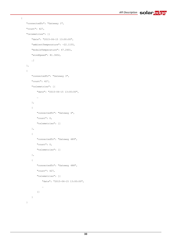```
"connectedTo": "Gateway 1",
"count": 427,
"telemetries": [{
   "date": "2015-06-15 13:00:00",
   "ambientTemperature": -22.1155,
   "moduleTemperature": 47.2601,
   "windSpeed": 81.3652,
   …]
},
{
   "connectedTo": "Gateway 3",
   "count": 427,
    "telemetries": [{
       "date": "2015-06-15 13:00:00",
       …
   },
    \left\{ \right."connectedTo": "Gateway 4",
       "count": 0,
       "telemetries": []
   },
    {
       "connectedTo": "Gateway 489",
       "count": 0,
       "telemetries": []
   },
    {
       "connectedTo": "Gateway 488",
       "count": 427,
       "telemetries": [{
           "date": "2015-06-15 13:00:00",
            …
       }]
   }
}
```
{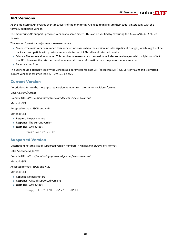# <span id="page-33-0"></span>API Versions

As the monitoring API evolves over time, users of the monitoring API need to make sure their code is interacting with the formally supported version.

The monitoring API supports previous versions to some extent. This can be verified by executing the *[Supported Version](#page-33-2)* API (see below).

The version format is <major.minor.release> where:

- Major The main version number. This number increases when the version includes significant changes, which might not be backward compatible with previous versions in terms of APIs calls and returned results.
- Minor The sub-version number. This number increases when the version includes some changes, which might not affect the APIs, however the returned results can contain more information than the previous minor version.
- Release bug fixes

The user should optionally specify the version as a parameter for each API (except this API) e.g. version=1.0.0. If it is omitted, current version is assumed (see *[Current Version](#page-33-1)* below).

#### <span id="page-33-1"></span>Current Version

Description: Return the most updated version number in <major.minor.revision> format.

URL: */version/current*

Example URL: *https://monitoringapi.solaredge.com/version/current*

Method: GET

Accepted formats: JSON and XML

Method: GET

- **Request: No parameters**
- **Response:** The current version
- **Example**: JSON output:

{"version":"1.0.0"}

#### <span id="page-33-2"></span>Supported Version

Description: Return a list of supported version numbers in <major.minor.revision> format.

URL: */version/supported*

Example URL: *https://monitoringapi.solaredge.com/version/current*

Method: GET

Accepted formats: JSON and XML

Method: GET

- **Request: No parameters**
- **Response:** A list of supported versions
- **Example**: JSON output:

{"supported":["0.9.5","1.0.0"]}